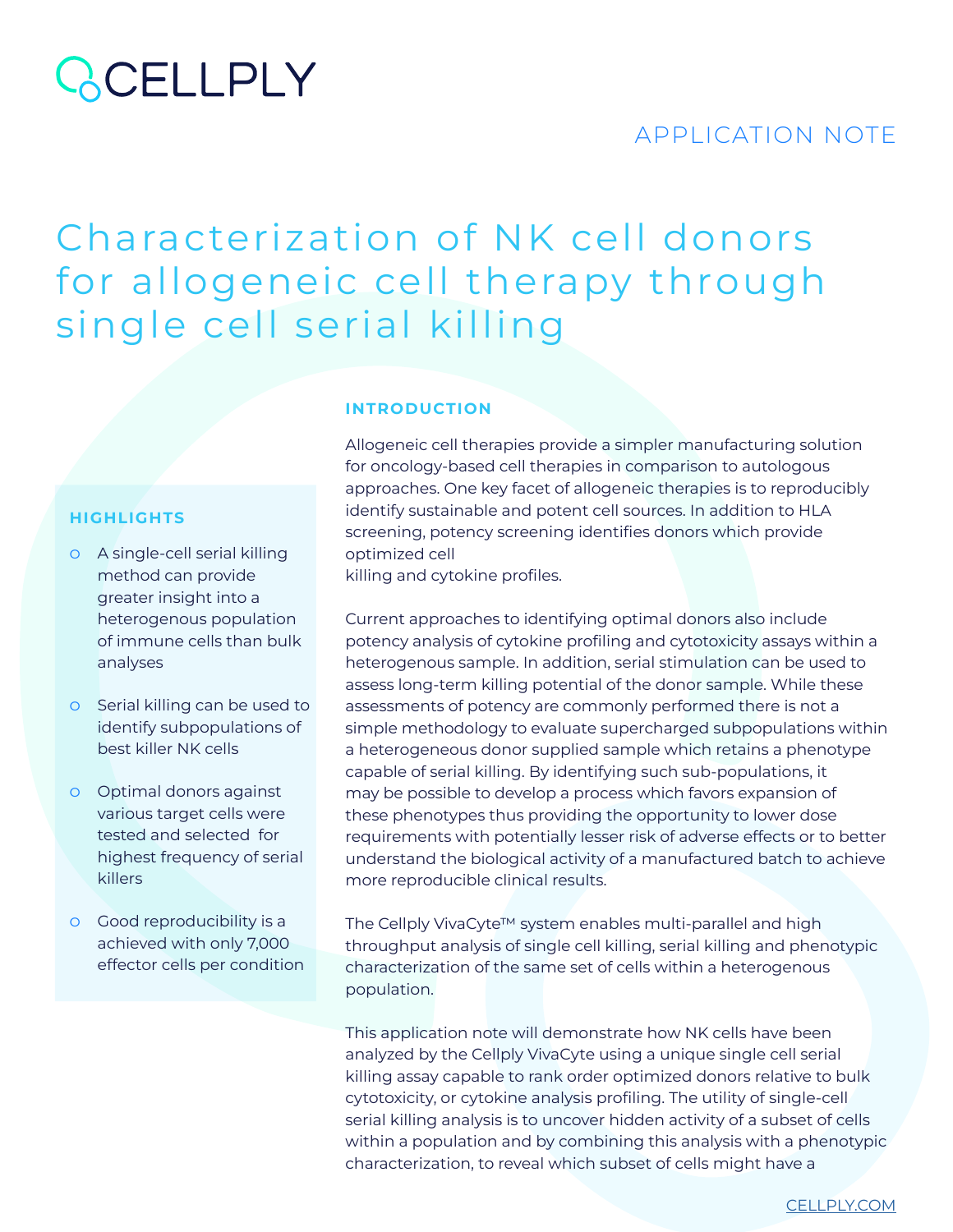### **QCELLPLY**

### APPLICATION NOTE

### Characterization of NK cell donors for allogeneic cell therapy through single cell serial killing

**INTRODUCTION**

### **HIGHLIGHTS**

- ͟ A single-cell serial killing method can provide greater insight into a heterogenous population of immune cells than bulk analyses
- o Serial killing can be used to identify subpopulations of best killer NK cells
- ͟ Optimal donors against various target cells were tested and selected for highest frequency of serial killers
- ͟ Good reproducibility is a achieved with only 7,000 effector cells per condition

Allogeneic cell therapies provide a simpler manufacturing solution for oncology-based cell therapies in comparison to autologous approaches. One key facet of allogeneic therapies is to reproducibly identify sustainable and potent cell sources. In addition to HLA screening, potency screening identifies donors which provide optimized cell

killing and cytokine profiles.

Current approaches to identifying optimal donors also include potency analysis of cytokine profiling and cytotoxicity assays within a heterogenous sample. In addition, serial stimulation can be used to assess long-term killing potential of the donor sample. While these assessments of potency are commonly performed there is not a simple methodology to evaluate supercharged subpopulations within a heterogeneous donor supplied sample which retains a phenotype capable of serial killing. By identifying such sub-populations, it may be possible to develop a process which favors expansion of these phenotypes thus providing the opportunity to lower dose requirements with potentially lesser risk of adverse effects or to better understand the biological activity of a manufactured batch to achieve more reproducible clinical results.

The Cellply VivaCyte™ system enables multi-parallel and high throughput analysis of single cell killing, serial killing and phenotypic characterization of the same set of cells within a heterogenous population.

This application note will demonstrate how NK cells have been analyzed by the Cellply VivaCyte using a unique single cell serial killing assay capable to rank order optimized donors relative to bulk cytotoxicity, or cytokine analysis profiling. The utility of single-cell serial killing analysis is to uncover hidden activity of a subset of cells within a population and by combining this analysis with a phenotypic characterization, to reveal which subset of cells might have a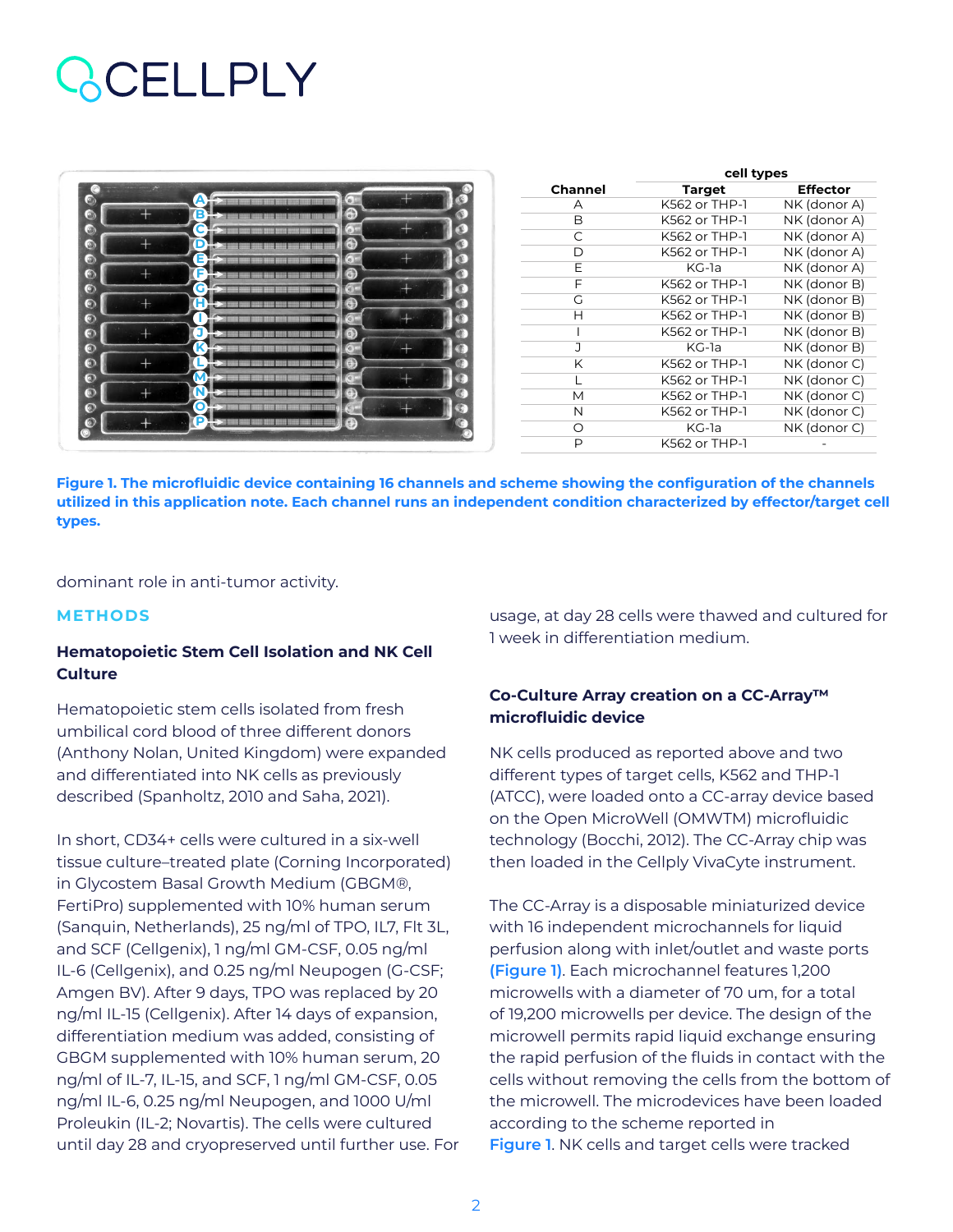### CELLPLY

| $\bullet$              |    | ø      |   |  |
|------------------------|----|--------|---|--|
| $\bullet$              | E  | ⊕      |   |  |
| $\bullet$              | Ć  | G)     |   |  |
| $\bullet$              | C  | ⊕      |   |  |
| $\bullet$<br>$\bullet$ | Ε  | ø<br>⊕ |   |  |
| $\bullet$              | G  | ø      |   |  |
| $\odot$                | 'n | ⊕      |   |  |
| $\odot$                |    | G      |   |  |
| $\bullet$              |    | ⊕      |   |  |
| $\bullet$              | K  | €      |   |  |
| $\odot$                | M  | ⊕<br>G | × |  |
| $\frac{1}{2}$          |    | 3      |   |  |
| $\odot$                | О  |        |   |  |
| $\bullet$              | P  | Ð      |   |  |

|                | cell types    |                 |  |  |
|----------------|---------------|-----------------|--|--|
| <b>Channel</b> | <b>Target</b> | <b>Effector</b> |  |  |
| А              | K562 or THP-1 | NK (donor A)    |  |  |
| B              | K562 or THP-1 | NK (donor A)    |  |  |
| C              | K562 or THP-1 | NK (donor A)    |  |  |
| D              | K562 or THP-1 | NK (donor A)    |  |  |
| E              | KG-1a         | NK (donor A)    |  |  |
| F              | K562 or THP-1 | NK (donor B)    |  |  |
| G              | K562 or THP-1 | NK (donor B)    |  |  |
| Н              | K562 or THP-1 | NK (donor B)    |  |  |
|                | K562 or THP-1 | NK (donor B)    |  |  |
| J.             | KG-la         | NK (donor B)    |  |  |
| K              | K562 or THP-1 | NK (donor C)    |  |  |
| L              | K562 or THP-1 | NK (donor C)    |  |  |
| М              | K562 or THP-1 | NK (donor C)    |  |  |
| N              | K562 or THP-1 | NK (donor C)    |  |  |
| ∩              | KG-1a         | NK (donor C)    |  |  |
| P              | K562 or THP-1 |                 |  |  |

**Figure 1. The microfluidic device containing 16 channels and scheme showing the configuration of the channels utilized in this application note. Each channel runs an independent condition characterized by effector/target cell types.**

dominant role in anti-tumor activity.

#### **METHODS**

#### **Hematopoietic Stem Cell Isolation and NK Cell Culture**

Hematopoietic stem cells isolated from fresh umbilical cord blood of three different donors (Anthony Nolan, United Kingdom) were expanded and differentiated into NK cells as previously described (Spanholtz, 2010 and Saha, 2021).

In short, CD34+ cells were cultured in a six-well tissue culture–treated plate (Corning Incorporated) in Glycostem Basal Growth Medium (GBGM®, FertiPro) supplemented with 10% human serum (Sanquin, Netherlands), 25 ng/ml of TPO, IL7, Flt 3L, and SCF (Cellgenix), 1 ng/ml GM-CSF, 0.05 ng/ml IL-6 (Cellgenix), and 0.25 ng/ml Neupogen (G-CSF; Amgen BV). After 9 days, TPO was replaced by 20 ng/ml IL-15 (Cellgenix). After 14 days of expansion, differentiation medium was added, consisting of GBGM supplemented with 10% human serum, 20 ng/ml of IL-7, IL-15, and SCF, 1 ng/ml GM-CSF, 0.05 ng/ml IL-6, 0.25 ng/ml Neupogen, and 1000 U/ml Proleukin (IL-2; Novartis). The cells were cultured until day 28 and cryopreserved until further use. For usage, at day 28 cells were thawed and cultured for 1 week in differentiation medium.

### **Co-Culture Array creation on a CC-Array™ microfluidic device**

NK cells produced as reported above and two different types of target cells, K562 and THP-1 (ATCC), were loaded onto a CC-array device based on the Open MicroWell (OMWTM) microfluidic technology (Bocchi, 2012). The CC-Array chip was then loaded in the Cellply VivaCyte instrument.

The CC-Array is a disposable miniaturized device with 16 independent microchannels for liquid perfusion along with inlet/outlet and waste ports **(Figure 1)**. Each microchannel features 1,200 microwells with a diameter of 70 um, for a total of 19,200 microwells per device. The design of the microwell permits rapid liquid exchange ensuring the rapid perfusion of the fluids in contact with the cells without removing the cells from the bottom of the microwell. The microdevices have been loaded according to the scheme reported in **Figure 1**. NK cells and target cells were tracked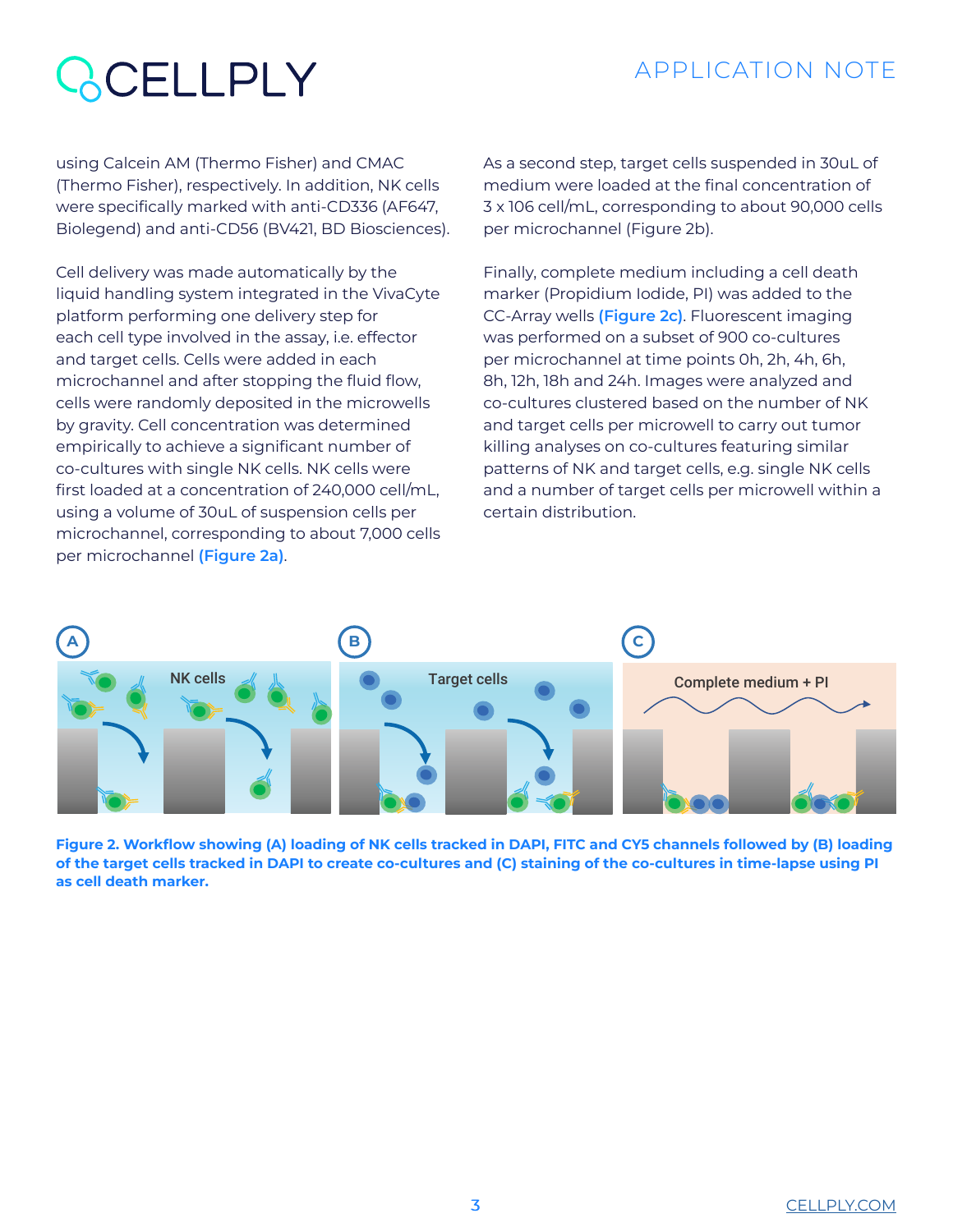### APPLICATION NOTE

# **RCELLPLY**

using Calcein AM (Thermo Fisher) and CMAC (Thermo Fisher), respectively. In addition, NK cells were specifically marked with anti-CD336 (AF647, Biolegend) and anti-CD56 (BV421, BD Biosciences).

Cell delivery was made automatically by the liquid handling system integrated in the VivaCyte platform performing one delivery step for each cell type involved in the assay, i.e. effector and target cells. Cells were added in each microchannel and after stopping the fluid flow, cells were randomly deposited in the microwells by gravity. Cell concentration was determined empirically to achieve a significant number of co-cultures with single NK cells. NK cells were first loaded at a concentration of 240,000 cell/mL, using a volume of 30uL of suspension cells per microchannel, corresponding to about 7,000 cells per microchannel **(Figure 2a)**.

As a second step, target cells suspended in 30uL of medium were loaded at the final concentration of 3 x 106 cell/mL, corresponding to about 90,000 cells per microchannel (Figure 2b).

Finally, complete medium including a cell death marker (Propidium Iodide, PI) was added to the CC-Array wells **(Figure 2c)**. Fluorescent imaging was performed on a subset of 900 co-cultures per microchannel at time points 0h, 2h, 4h, 6h, 8h, 12h, 18h and 24h. Images were analyzed and co-cultures clustered based on the number of NK and target cells per microwell to carry out tumor killing analyses on co-cultures featuring similar patterns of NK and target cells, e.g. single NK cells and a number of target cells per microwell within a certain distribution.



**Figure 2. Workflow showing (A) loading of NK cells tracked in DAPI, FITC and CY5 channels followed by (B) loading of the target cells tracked in DAPI to create co-cultures and (C) staining of the co-cultures in time-lapse using PI as cell death marker.**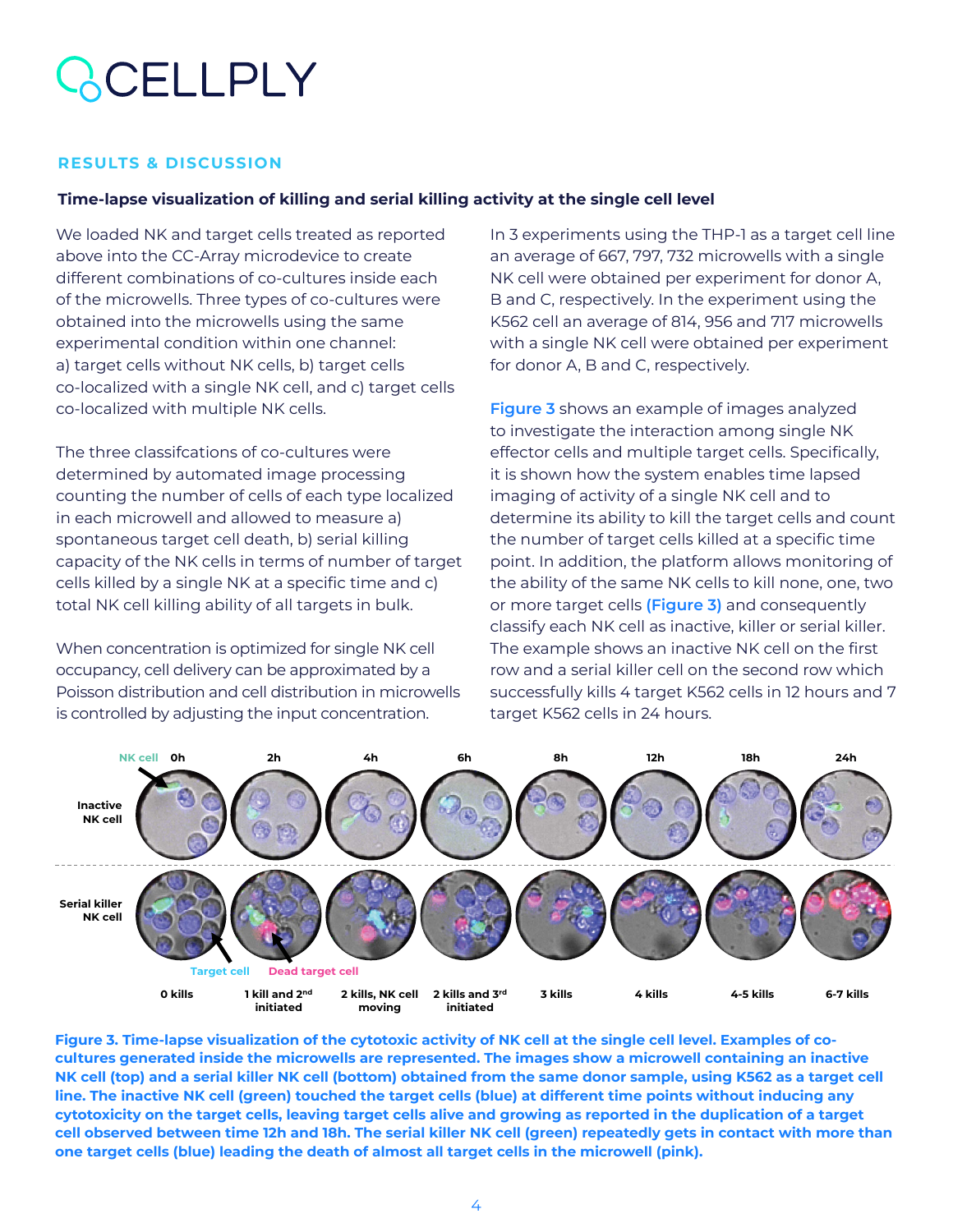# **ACELLPLY**

#### **RESULTS & DISCUSSION**

#### **Time-lapse visualization of killing and serial killing activity at the single cell level**

We loaded NK and target cells treated as reported above into the CC-Array microdevice to create different combinations of co-cultures inside each of the microwells. Three types of co-cultures were obtained into the microwells using the same experimental condition within one channel: a) target cells without NK cells, b) target cells co-localized with a single NK cell, and c) target cells co-localized with multiple NK cells.

The three classifcations of co-cultures were determined by automated image processing counting the number of cells of each type localized in each microwell and allowed to measure a) spontaneous target cell death, b) serial killing capacity of the NK cells in terms of number of target cells killed by a single NK at a specific time and c) total NK cell killing ability of all targets in bulk.

When concentration is optimized for single NK cell occupancy, cell delivery can be approximated by a Poisson distribution and cell distribution in microwells is controlled by adjusting the input concentration.

In 3 experiments using the THP-1 as a target cell line an average of 667, 797, 732 microwells with a single NK cell were obtained per experiment for donor A, B and C, respectively. In the experiment using the K562 cell an average of 814, 956 and 717 microwells with a single NK cell were obtained per experiment for donor A, B and C, respectively.

**Figure 3** shows an example of images analyzed to investigate the interaction among single NK effector cells and multiple target cells. Specifically, it is shown how the system enables time lapsed imaging of activity of a single NK cell and to determine its ability to kill the target cells and count the number of target cells killed at a specific time point. In addition, the platform allows monitoring of the ability of the same NK cells to kill none, one, two or more target cells **(Figure 3)** and consequently classify each NK cell as inactive, killer or serial killer. The example shows an inactive NK cell on the first row and a serial killer cell on the second row which successfully kills 4 target K562 cells in 12 hours and 7 target K562 cells in 24 hours.



**Figure 3. Time-lapse visualization of the cytotoxic activity of NK cell at the single cell level. Examples of cocultures generated inside the microwells are represented. The images show a microwell containing an inactive NK cell (top) and a serial killer NK cell (bottom) obtained from the same donor sample, using K562 as a target cell line. The inactive NK cell (green) touched the target cells (blue) at different time points without inducing any cytotoxicity on the target cells, leaving target cells alive and growing as reported in the duplication of a target cell observed between time 12h and 18h. The serial killer NK cell (green) repeatedly gets in contact with more than one target cells (blue) leading the death of almost all target cells in the microwell (pink).**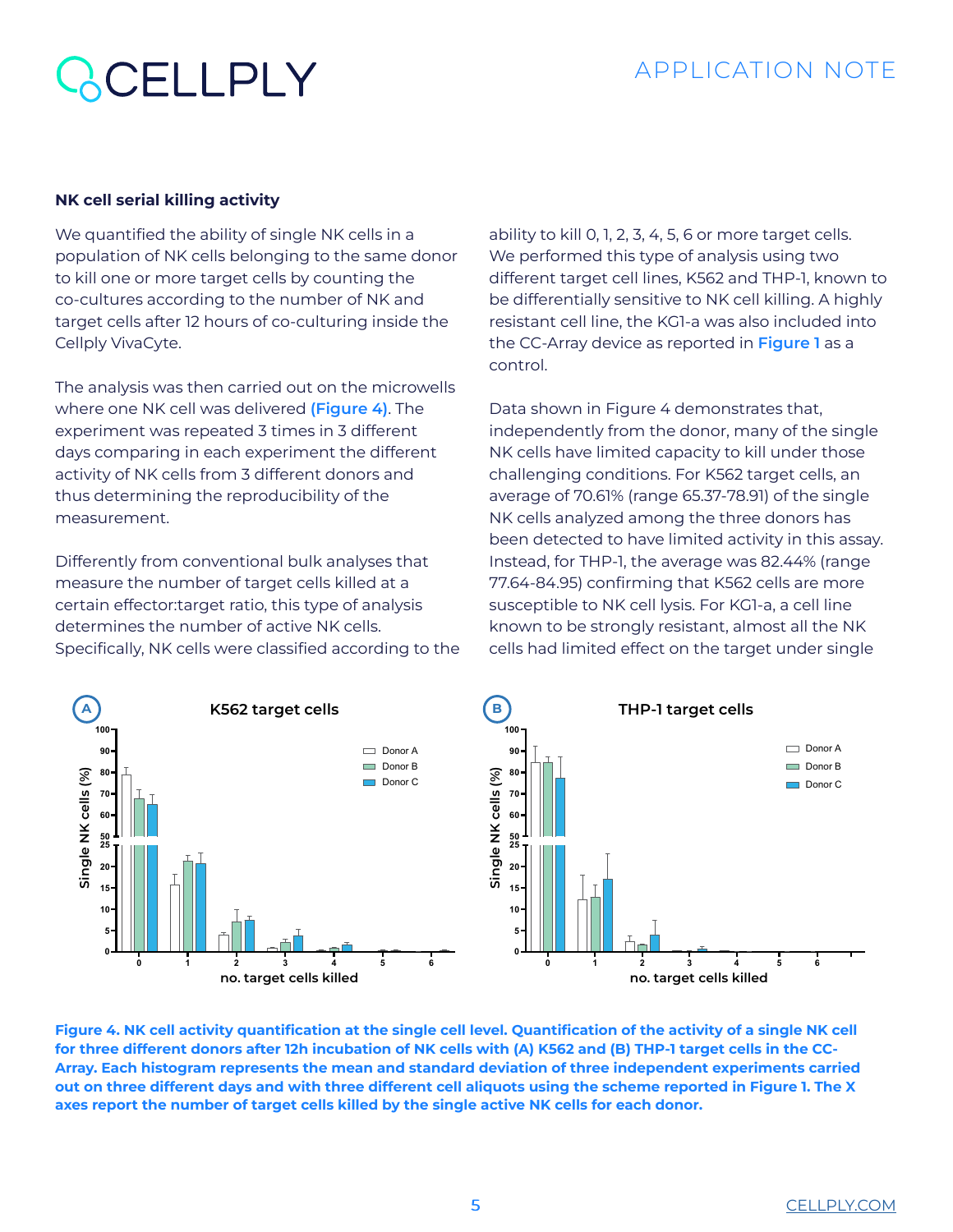### CELLPLY

#### **NK cell serial killing activity**

We quantified the ability of single NK cells in a population of NK cells belonging to the same donor to kill one or more target cells by counting the co-cultures according to the number of NK and target cells after 12 hours of co-culturing inside the Cellply VivaCyte.

The analysis was then carried out on the microwells where one NK cell was delivered **(Figure 4)**. The experiment was repeated 3 times in 3 different days comparing in each experiment the different activity of NK cells from 3 different donors and thus determining the reproducibility of the measurement.

Differently from conventional bulk analyses that measure the number of target cells killed at a certain effector:target ratio, this type of analysis determines the number of active NK cells. Specifically, NK cells were classified according to the ability to kill 0, 1, 2, 3, 4, 5, 6 or more target cells. We performed this type of analysis using two different target cell lines, K562 and THP-1, known to be differentially sensitive to NK cell killing. A highly resistant cell line, the KG1-a was also included into the CC-Array device as reported in **Figure 1** as a control.

Data shown in Figure 4 demonstrates that, independently from the donor, many of the single NK cells have limited capacity to kill under those challenging conditions. For K562 target cells, an average of 70.61% (range 65.37-78.91) of the single NK cells analyzed among the three donors has been detected to have limited activity in this assay. Instead, for THP-1, the average was 82.44% (range 77.64-84.95) confirming that K562 cells are more susceptible to NK cell lysis. For KG1-a, a cell line known to be strongly resistant, almost all the NK cells had limited effect on the target under single



**Figure 4. NK cell activity quantification at the single cell level. Quantification of the activity of a single NK cell for three different donors after 12h incubation of NK cells with (A) K562 and (B) THP-1 target cells in the CC-Array. Each histogram represents the mean and standard deviation of three independent experiments carried out on three different days and with three different cell aliquots using the scheme reported in Figure 1. The X axes report the number of target cells killed by the single active NK cells for each donor.**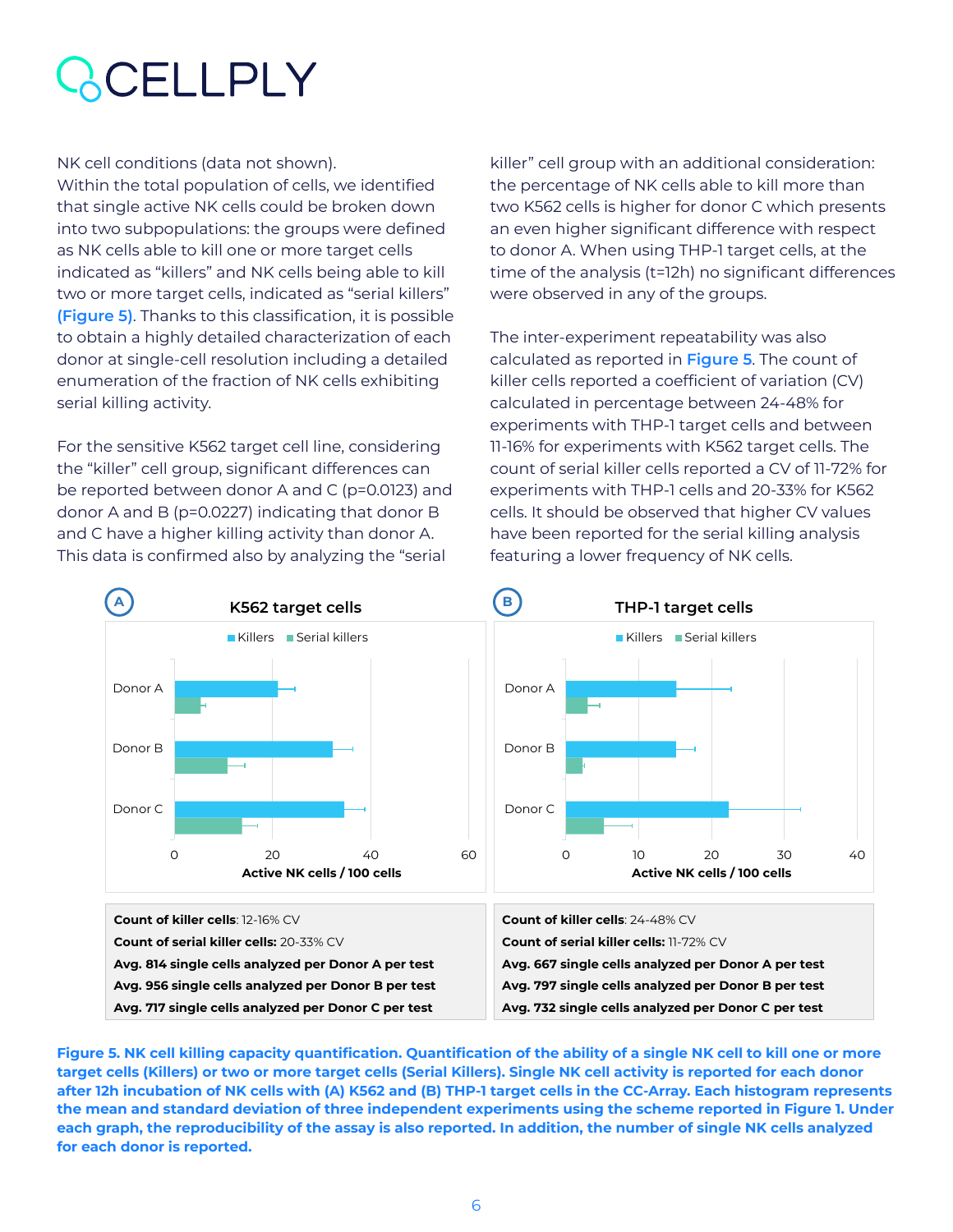# CELLPLY

NK cell conditions (data not shown). Within the total population of cells, we identified that single active NK cells could be broken down into two subpopulations: the groups were defined as NK cells able to kill one or more target cells indicated as "killers" and NK cells being able to kill two or more target cells, indicated as "serial killers" **(Figure 5)**. Thanks to this classification, it is possible to obtain a highly detailed characterization of each donor at single-cell resolution including a detailed enumeration of the fraction of NK cells exhibiting serial killing activity.

For the sensitive K562 target cell line, considering the "killer" cell group, significant differences can be reported between donor A and C (p=0.0123) and donor A and B (p=0.0227) indicating that donor B and C have a higher killing activity than donor A. This data is confirmed also by analyzing the "serial

killer" cell group with an additional consideration: the percentage of NK cells able to kill more than two K562 cells is higher for donor C which presents an even higher significant difference with respect to donor A. When using THP-1 target cells, at the time of the analysis (t=12h) no significant differences were observed in any of the groups.

The inter-experiment repeatability was also calculated as reported in **Figure 5**. The count of killer cells reported a coefficient of variation (CV) calculated in percentage between 24-48% for experiments with THP-1 target cells and between 11-16% for experiments with K562 target cells. The count of serial killer cells reported a CV of 11-72% for experiments with THP-1 cells and 20-33% for K562 cells. It should be observed that higher CV values have been reported for the serial killing analysis featuring a lower frequency of NK cells.



**Figure 5. NK cell killing capacity quantification. Quantification of the ability of a single NK cell to kill one or more target cells (Killers) or two or more target cells (Serial Killers). Single NK cell activity is reported for each donor after 12h incubation of NK cells with (A) K562 and (B) THP-1 target cells in the CC-Array. Each histogram represents the mean and standard deviation of three independent experiments using the scheme reported in Figure 1. Under each graph, the reproducibility of the assay is also reported. In addition, the number of single NK cells analyzed for each donor is reported.**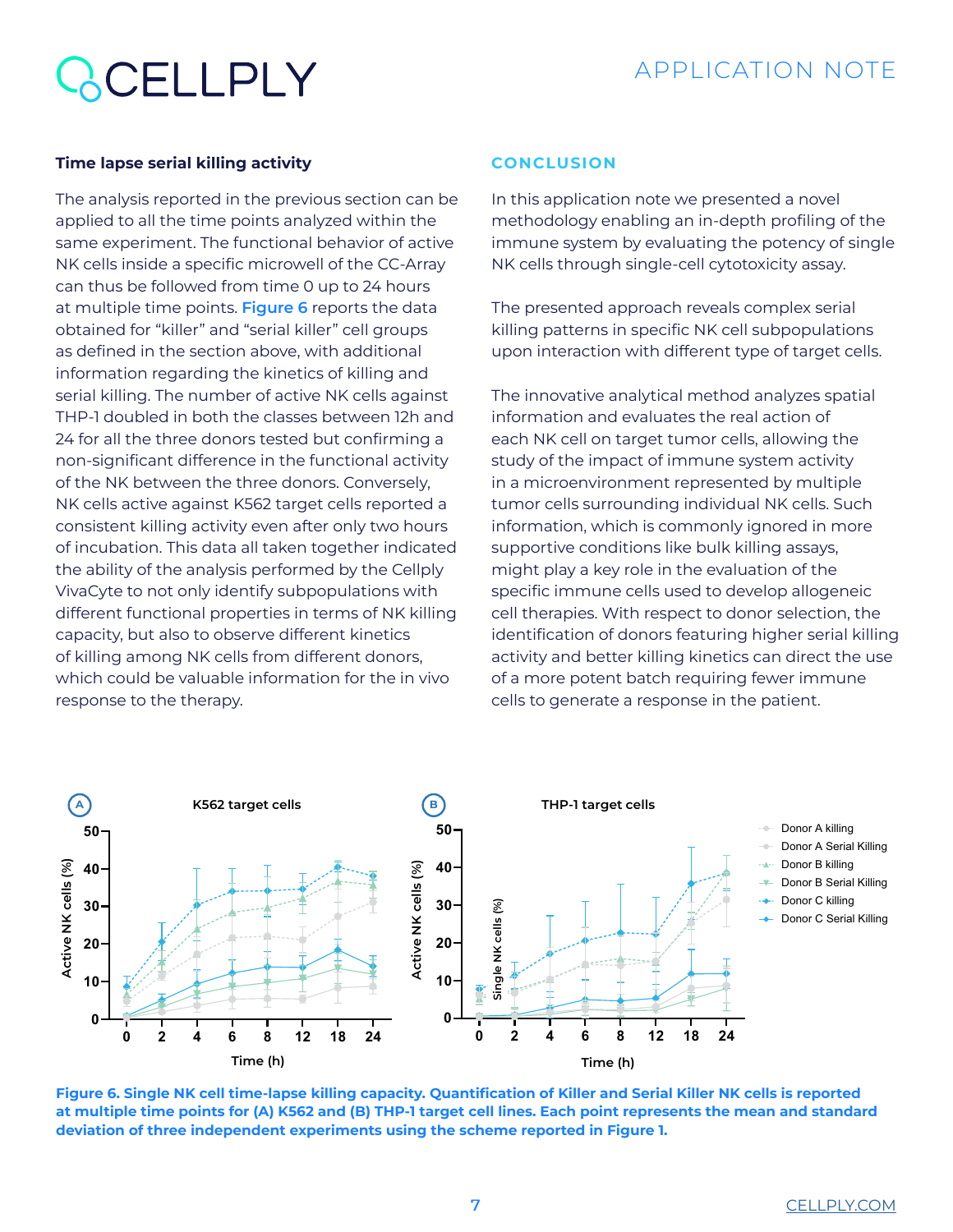# **ACELLPLY**

#### **Time lapse serial killing activity**

The analysis reported in the previous section can be applied to all the time points analyzed within the same experiment. The functional behavior of active NK cells inside a specific microwell of the CC-Array can thus be followed from time 0 up to 24 hours at multiple time points. **Figure 6** reports the data obtained for "killer" and "serial killer" cell groups as defined in the section above, with additional information regarding the kinetics of killing and serial killing. The number of active NK cells against THP-1 doubled in both the classes between 12h and 24 for all the three donors tested but confirming a non-significant difference in the functional activity of the NK between the three donors. Conversely, NK cells active against K562 target cells reported a consistent killing activity even after only two hours of incubation. This data all taken together indicated the ability of the analysis performed by the Cellply VivaCyte to not only identify subpopulations with different functional properties in terms of NK killing capacity, but also to observe different kinetics of killing among NK cells from different donors, which could be valuable information for the in vivo response to the therapy.

#### **CONCLUSION**

In this application note we presented a novel methodology enabling an in-depth profiling of the immune system by evaluating the potency of single NK cells through single-cell cytotoxicity assay.

The presented approach reveals complex serial killing patterns in specific NK cell subpopulations upon interaction with different type of target cells.

The innovative analytical method analyzes spatial information and evaluates the real action of each NK cell on target tumor cells, allowing the study of the impact of immune system activity in a microenvironment represented by multiple tumor cells surrounding individual NK cells. Such information, which is commonly ignored in more supportive conditions like bulk killing assays, might play a key role in the evaluation of the specific immune cells used to develop allogeneic cell therapies. With respect to donor selection, the identification of donors featuring higher serial killing activity and better killing kinetics can direct the use of a more potent batch requiring fewer immune cells to generate a response in the patient.



**Figure 6. Single NK cell time-lapse killing capacity. Quantification of Killer and Serial Killer NK cells is reported at multiple time points for (A) K562 and (B) THP-1 target cell lines. Each point represents the mean and standard deviation of three independent experiments using the scheme reported in Figure 1.**